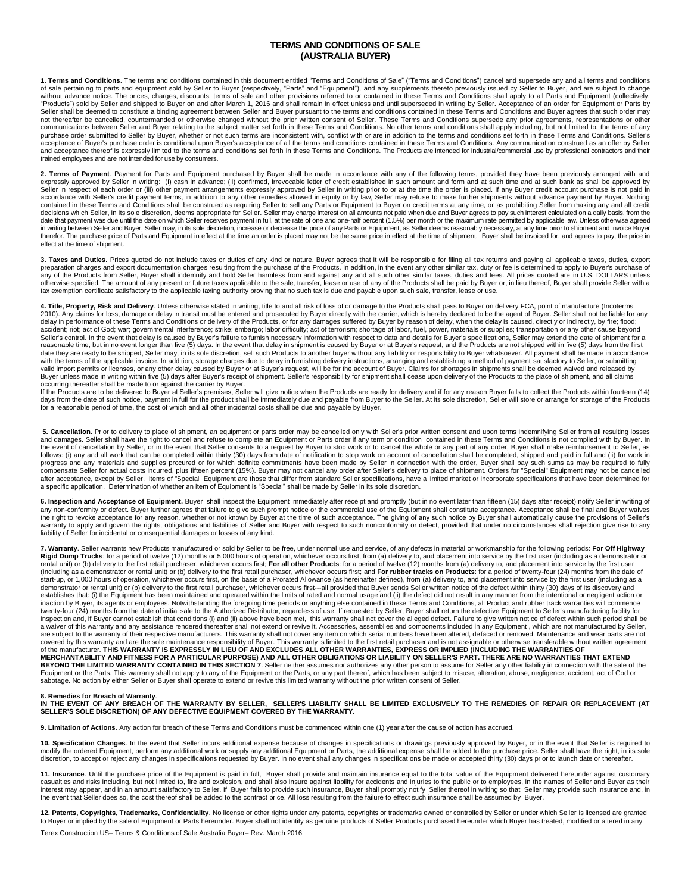## **TERMS AND CONDITIONS OF SALE (AUSTRALIA BUYER)**

**1. Terms and Conditions**. The terms and conditions contained in this document entitled "Terms and Conditions of Sale" ("Terms and Conditions") cancel and supersede any and all terms and conditions of sale pertaining to parts and equipment sold by Seller to Buyer (respectively, "Parts" and "Equipment"), and any supplements thereto previously issued by Seller to Buyer, and are subject to change<br>without advance notice. Seller shall be deemed to constitute a binding agreement between Seller and Buyer pursuant to the terms and conditions contained in these Terms and Conditions and Buyer agrees that such order may<br>not thereafter be cancelle communications between Seller and Buyer relating to the subject matter set forth in these Terms and Conditions. No other terms and conditions shall apply including, but not limited to, the terms of any purchase order submitted to Seller by Buyer, whether or not such terms are inconsistent with, conflict with or are in addition to the terms and conditions set forth in these Terms and Conditions. Seller's acceptance of Buyer's purchase order is conditional upon Buyer's acceptance of all the terms and conditions contained in these Terms and Conditions. Any communication construed as an offer by Seller and acceptance thereof is expressly limited to the terms and conditions set forth in these Terms and Conditions. The Products are intended for industrial/commercial use by professional contractors and their<br>trained employe

**2. Terms of Payment**. Payment for Parts and Equipment purchased by Buyer shall be made in accordance with any of the following terms, provided they have been previously arranged with and<br>expressly approved by Seller in wr Seller in respect of each order or (iii) other payment arrangements expressly approved by Seller in writing prior to or at the time the order is placed. If any Buyer credit account purchase is not paid in<br>accordance with S contained in these Terms and Conditions shall be construed as requiring Seller to sell any Parts or Equipment to Buyer on credit terms at any time, or as prohibiting Seller from making any and all credit conditions shall b decisions which Seller, in its sole discretion, deems appropriate for Seller. Seller may charge interest on all amounts not paid when due and Buyer agrees to pay such interest calculated on a daily basis, from the<br>date tha in writing between Seller and Buyer, Seller may, in its sole discretion, increase or decrease the price of any Parts or Equipment, as Seller deems reasonably necessary, at any time prior to shipment and invoice Buyer<br>there effect at the time of shipment.

**3. Taxes and Duties.** Prices quoted do not include taxes or duties of any kind or nature. Buyer agrees that it will be responsible for filing all tax returns and paying all applicable taxes, duties, export preparation charges and export documentation charges resulting from the purchase of the Products. In addition, in the event any other similar tax, duty or fee is determined to apply to Buyer's purchase of<br>any of the Produc tax exemption certificate satisfactory to the applicable taxing authority proving that no such tax is due and payable upon such sale, transfer, lease or use.

**4. Title, Property, Risk and Delivery**. Unless otherwise stated in writing, title to and all risk of loss of or damage to the Products shall pass to Buyer on delivery FCA, point of manufacture (Incoterms 2010). Any claims for loss, damage or delay in transit must be entered and prosecuted by Buyer directly with the carrier, which is hereby declared to be the agent of Buyer. Seller shall not be liable for any<br>delay in perfo accident; riot; act of God; war; governmental interference; strike; embargo; labor difficulty; act of terrorism; shortage of labor, fuel, power, materials or supplies; transportation or any other cause beyond Seller's control. In the event that delay is caused by Buyer's failure to furnish necessary information with respect to data and details for Buyer's specifications, Seller may extend the date of shipment for a reasonable time, but in no event longer than five (5) days. In the event that delay in shipment is caused by Buyer or at Buyer's request, and the Products are not shipped within five (5) days from the first date they are ready to be shipped, Seller may, in its sole discretion, sell such Products to another buyer without any liability or responsibility to Buyer whatsoever. All payment shall be made in accordance<br>with the terms Buyer unless made in writing within five (5) days after Buyer's receipt of shipment. Seller's responsibility for shipment shall cease upon delivery of the Products to the place of shipment, and all claims<br>occurring thereaf

If the Products are to be delivered to Buyer at Seller's premises, Seller will give notice when the Products are ready for delivery and if for any reason Buyer fails to collect the Products within fourteen (14) days from the date of such notice, payment in full for the product shall be immediately due and payable from Buyer to the Seller. At its sole discretion, Seller will store or arrange for storage of the Products<br>for a reaso

**5. Cancellation**. Prior to delivery to place of shipment, an equipment or parts order may be cancelled only with Seller's prior written consent and upon terms indemnifying Seller from all resulting losses and damages. Seller shall have the right to cancel and refuse to complete an Equipment or Parts order if any term or condition contained in these Terms and Conditions is not complied with by Buyer. In<br>the event of cancella after acceptance, except by Seller. Items of "Special" Equipment are those that differ from standard Seller specifications, have a limited market or incorporate specifications that have been determined for a specific application. Determination of whether an item of Equipment is "Special" shall be made by Seller in its sole discretion.

**6. Inspection and Acceptance of Equipment.** Buyer shall inspect the Equipment immediately after receipt and promptly (but in no event later than fifteen (15) days after receipt) notify Seller in writing of<br>any non-conform warranty to apply and govern the rights, obligations and liabilities of Seller and Buyer with respect to such nonconformity or defect, provided that under no circumstances shall rejection give rise to any<br>liability of Sell

**7. Warranty**. Seller warrants new Products manufactured or sold by Seller to be free, under normal use and service, of any defects in material or workmanship for the following periods: **For Off Highway Rigid Dump Trucks**: for a period of twelve (12) months or 5,000 hours of operation, whichever occurs first, from (a) delivery to, and placement into service by the first user (including as a demonstrator or<br>rental unit) o (including as a demonstrator or rental unit) or (b) delivery to the first retail purchaser, whichever occurs first; and **For rubber tracks on Products**: for a period of twenty-four (24) months from the date of start-up, or 1,000 hours of operation, whichever occurs first, on the basis of a Prorated Allowance (as hereinafter defined), from (a) delivery to, and placement into service by the first user (including as a demonstrator or rental unit) or (b) delivery to the first retail purchaser, whichever occurs first---all provided that Buyer sends Seller written notice of the defect within thirty (30) days of its discovery and establishes that: (i) the Equipment has been maintained and operated within the limits of rated and normal usage and (ii) the defect did not result in any manner from the intentional or negligent action or inaction by Buyer, its agents or employees. Notwithstanding the foregoing time periods or anything else contained in these Terms and Conditions, all Product and rubber track warranties will commence<br>twenty-four (24) months inspection and, if Buyer cannot establish that conditions (i) and (ii) above have been met, this warranty shall not cover the alleged defect. Failure to give written notice of defect within such period shall be a waiver of this warranty and any assistance rendered thereafter shall not extend or revive it. Accessories, assemblies and components included in any Equipment , which are not manufactured by Seller,<br>are subject to the wa covered by this warranty and are the sole maintenance responsibility of Buyer. This warranty is limited to the first retail purchaser and is not assignable or otherwise transferable without written agreement<br>of the manufac **MERCHANTABILITY AND FITNESS FOR A PARTICULAR PURPOSE) AND ALL OTHER OBLIGATIONS OR LIABILITY ON SELLER'S PART. THERE ARE NO WARRANTIES THAT EXTEND BEYOND THE LIMITED WARRANTY CONTAINED IN THIS SECTION 7**. Seller neither assumes nor authorizes any other person to assume for Seller any other liability in connection with the sale of the<br>Equipment or the Parts. This war sabotage. No action by either Seller or Buyer shall operate to extend or revive this limited warranty without the prior written consent of Seller.

**8. Remedies for Breach of Warranty**. **IN THE EVENT OF ANY BREACH OF THE WARRANTY BY SELLER, SELLER'S LIABILITY SHALL BE LIMITED EXCLUSIVELY TO THE REMEDIES OF REPAIR OR REPLACEMENT (AT SELLER'S SOLE DISCRETION) OF ANY DEFECTIVE EQUIPMENT COVERED BY THE WARRANTY.**

**9. Limitation of Actions**. Any action for breach of these Terms and Conditions must be commenced within one (1) year after the cause of action has accrued.

**10. Specification Changes**. In the event that Seller incurs additional expense because of changes in specifications or drawings previously approved by Buyer, or in the event that Seller is required to<br>modify the ordered E

**11. Insurance**. Until the purchase price of the Equipment is paid in full, Buyer shall provide and maintain insurance equal to the total value of the Equipment delivered hereunder against customary casualties and risks including, but not limited to, fire and explosion, and shall also insure against liability for accidents and injuries to the public or to employees, in the names of Seller and Buyer as their<br>interest m

**12. Patents, Copyrights, Trademarks, Confidentiality**. No license or other rights under any patents, copyrights or trademarks owned or controlled by Seller or under which Seller is licensed are granted to Buyer or implied by the sale of Equipment or Parts hereunder. Buyer shall not identify as genuine products of Seller Products purchased hereunder which Buyer has treated, modified or altered in any

Terex Construction US– Terms & Conditions of Sale Australia Buyer– Rev. March 2016